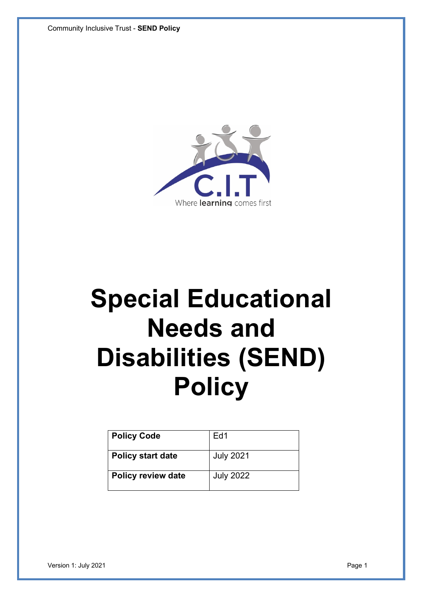

# **Special Educational Needs and Disabilities (SEND) Policy**

| <b>Policy Code</b>        | Ed1              |
|---------------------------|------------------|
| <b>Policy start date</b>  | <b>July 2021</b> |
| <b>Policy review date</b> | <b>July 2022</b> |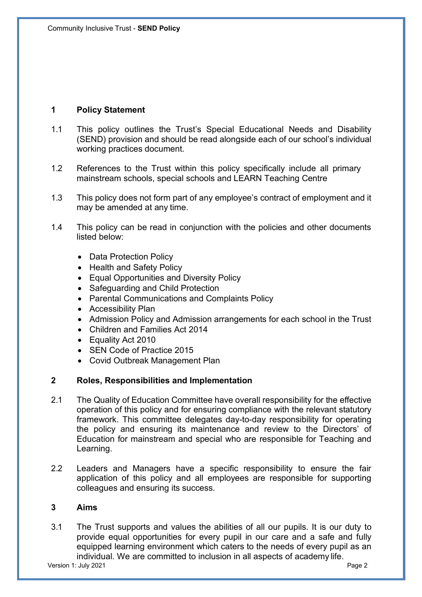# **1 Policy Statement**

- 1.1 This policy outlines the Trust's Special Educational Needs and Disability (SEND) provision and should be read alongside each of our school's individual working practices document.
- 1.2 References to the Trust within this policy specifically include all primary mainstream schools, special schools and LEARN Teaching Centre
- 1.3 This policy does not form part of any employee's contract of employment and it may be amended at any time.
- 1.4 This policy can be read in conjunction with the policies and other documents listed below:
	- Data Protection Policy
	- Health and Safety Policy
	- Equal Opportunities and Diversity Policy
	- Safeguarding and Child Protection
	- Parental Communications and Complaints Policy
	- Accessibility Plan
	- Admission Policy and Admission arrangements for each school in the Trust
	- Children and Families Act 2014
	- Equality Act 2010
	- SEN Code of Practice 2015
	- Covid Outbreak Management Plan

#### **2 Roles, Responsibilities and Implementation**

- 2.1 The Quality of Education Committee have overall responsibility for the effective operation of this policy and for ensuring compliance with the relevant statutory framework. This committee delegates day-to-day responsibility for operating the policy and ensuring its maintenance and review to the Directors' of Education for mainstream and special who are responsible for Teaching and Learning.
- 2.2 Leaders and Managers have a specific responsibility to ensure the fair application of this policy and all employees are responsible for supporting colleagues and ensuring its success.

## **3 Aims**

3.1 The Trust supports and values the abilities of all our pupils. It is our duty to provide equal opportunities for every pupil in our care and a safe and fully equipped learning environment which caters to the needs of every pupil as an individual. We are committed to inclusion in all aspects of academy life.

Version 1: July 2021 Page 2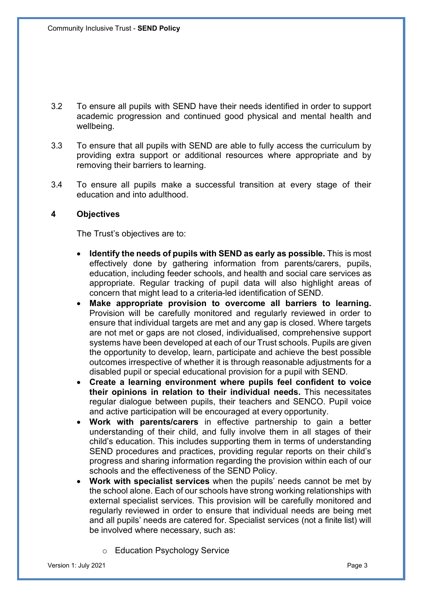- 3.2 To ensure all pupils with SEND have their needs identified in order to support academic progression and continued good physical and mental health and wellbeing.
- 3.3 To ensure that all pupils with SEND are able to fully access the curriculum by providing extra support or additional resources where appropriate and by removing their barriers to learning.
- 3.4 To ensure all pupils make a successful transition at every stage of their education and into adulthood.

## **4 Objectives**

The Trust's objectives are to:

- **Identify the needs of pupils with SEND as early as possible.** This is most effectively done by gathering information from parents/carers, pupils, education, including feeder schools, and health and social care services as appropriate. Regular tracking of pupil data will also highlight areas of concern that might lead to a criteria-led identification of SEND.
- **Make appropriate provision to overcome all barriers to learning.**  Provision will be carefully monitored and regularly reviewed in order to ensure that individual targets are met and any gap is closed. Where targets are not met or gaps are not closed, individualised, comprehensive support systems have been developed at each of our Trust schools. Pupils are given the opportunity to develop, learn, participate and achieve the best possible outcomes irrespective of whether it is through reasonable adjustments for a disabled pupil or special educational provision for a pupil with SEND.
- **Create a learning environment where pupils feel confident to voice their opinions in relation to their individual needs.** This necessitates regular dialogue between pupils, their teachers and SENCO. Pupil voice and active participation will be encouraged at every opportunity.
- **Work with parents/carers** in effective partnership to gain a better understanding of their child, and fully involve them in all stages of their child's education. This includes supporting them in terms of understanding SEND procedures and practices, providing regular reports on their child's progress and sharing information regarding the provision within each of our schools and the effectiveness of the SEND Policy.
- **Work with specialist services** when the pupils' needs cannot be met by the school alone. Each of our schools have strong working relationships with external specialist services. This provision will be carefully monitored and regularly reviewed in order to ensure that individual needs are being met and all pupils' needs are catered for. Specialist services (not a finite list) will be involved where necessary, such as:
	- o Education Psychology Service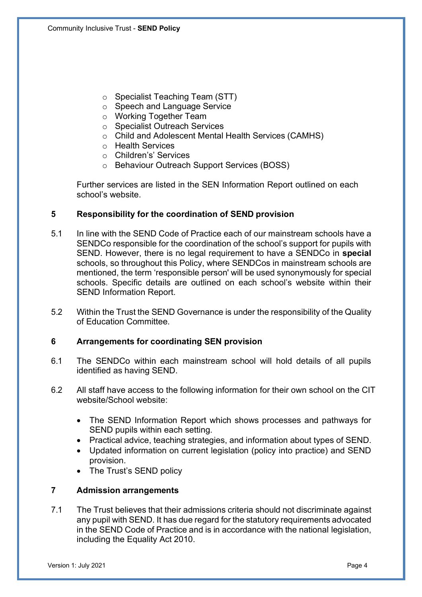- o Specialist Teaching Team (STT)
- o Speech and Language Service
- o Working Together Team
- o Specialist Outreach Services
- o Child and Adolescent Mental Health Services (CAMHS)
- o Health Services
- o Children's' Services
- o Behaviour Outreach Support Services (BOSS)

Further services are listed in the SEN Information Report outlined on each school's website.

# **5 Responsibility for the coordination of SEND provision**

- 5.1 In line with the SEND Code of Practice each of our mainstream schools have a SENDCo responsible for the coordination of the school's support for pupils with SEND. However, there is no legal requirement to have a SENDCo in **special** schools, so throughout this Policy, where SENDCos in mainstream schools are mentioned, the term 'responsible person' will be used synonymously for special schools. Specific details are outlined on each school's website within their SEND Information Report.
- 5.2 Within the Trust the SEND Governance is under the responsibility of the Quality of Education Committee.

# **6 Arrangements for coordinating SEN provision**

- 6.1 The SENDCo within each mainstream school will hold details of all pupils identified as having SEND.
- 6.2 All staff have access to the following information for their own school on the CIT website/School website:
	- The SEND Information Report which shows processes and pathways for SEND pupils within each setting.
	- Practical advice, teaching strategies, and information about types of SEND.
	- Updated information on current legislation (policy into practice) and SEND provision.
	- The Trust's SEND policy

# **7 Admission arrangements**

7.1 The Trust believes that their admissions criteria should not discriminate against any pupil with SEND. It has due regard for the statutory requirements advocated in the SEND Code of Practice and is in accordance with the national legislation, including the Equality Act 2010.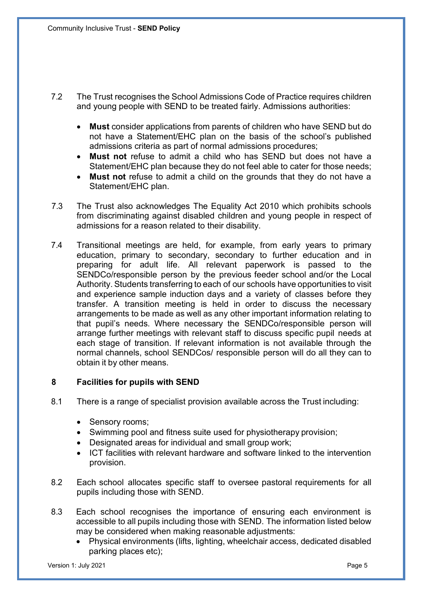- 7.2 The Trust recognises the School Admissions Code of Practice requires children and young people with SEND to be treated fairly. Admissions authorities:
	- **Must** consider applications from parents of children who have SEND but do not have a Statement/EHC plan on the basis of the school's published admissions criteria as part of normal admissions procedures;
	- **Must not** refuse to admit a child who has SEND but does not have a Statement/EHC plan because they do not feel able to cater for those needs;
	- **Must not** refuse to admit a child on the grounds that they do not have a Statement/EHC plan.
- 7.3 The Trust also acknowledges The Equality Act 2010 which prohibits schools from discriminating against disabled children and young people in respect of admissions for a reason related to their disability.
- 7.4 Transitional meetings are held, for example, from early years to primary education, primary to secondary, secondary to further education and in preparing for adult life. All relevant paperwork is passed to the SENDCo/responsible person by the previous feeder school and/or the Local Authority. Students transferring to each of our schools have opportunities to visit and experience sample induction days and a variety of classes before they transfer. A transition meeting is held in order to discuss the necessary arrangements to be made as well as any other important information relating to that pupil's needs. Where necessary the SENDCo/responsible person will arrange further meetings with relevant staff to discuss specific pupil needs at each stage of transition. If relevant information is not available through the normal channels, school SENDCos/ responsible person will do all they can to obtain it by other means.

# **8 Facilities for pupils with SEND**

- 8.1 There is a range of specialist provision available across the Trust including:
	- Sensory rooms;
	- Swimming pool and fitness suite used for physiotherapy provision;
	- Designated areas for individual and small group work;
	- ICT facilities with relevant hardware and software linked to the intervention provision.
- 8.2 Each school allocates specific staff to oversee pastoral requirements for all pupils including those with SEND.
- 8.3 Each school recognises the importance of ensuring each environment is accessible to all pupils including those with SEND. The information listed below may be considered when making reasonable adjustments:
	- Physical environments (lifts, lighting, wheelchair access, dedicated disabled parking places etc);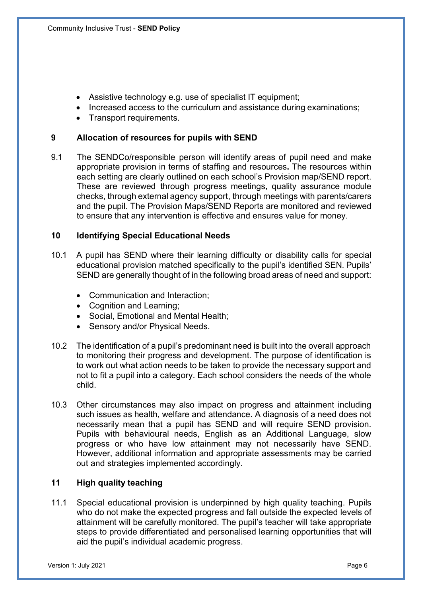- Assistive technology e.g. use of specialist IT equipment:
- Increased access to the curriculum and assistance during examinations;
- Transport requirements.

## **9 Allocation of resources for pupils with SEND**

9.1 The SENDCo/responsible person will identify areas of pupil need and make appropriate provision in terms of staffing and resources**.** The resources within each setting are clearly outlined on each school's Provision map/SEND report. These are reviewed through progress meetings, quality assurance module checks, through external agency support, through meetings with parents/carers and the pupil. The Provision Maps/SEND Reports are monitored and reviewed to ensure that any intervention is effective and ensures value for money.

## **10 Identifying Special Educational Needs**

- 10.1 A pupil has SEND where their learning difficulty or disability calls for special educational provision matched specifically to the pupil's identified SEN. Pupils' SEND are generally thought of in the following broad areas of need and support:
	- Communication and Interaction;
	- Cognition and Learning;
	- Social, Emotional and Mental Health;
	- Sensory and/or Physical Needs.
- 10.2 The identification of a pupil's predominant need is built into the overall approach to monitoring their progress and development. The purpose of identification is to work out what action needs to be taken to provide the necessary support and not to fit a pupil into a category. Each school considers the needs of the whole child.
- 10.3 Other circumstances may also impact on progress and attainment including such issues as health, welfare and attendance. A diagnosis of a need does not necessarily mean that a pupil has SEND and will require SEND provision. Pupils with behavioural needs, English as an Additional Language, slow progress or who have low attainment may not necessarily have SEND. However, additional information and appropriate assessments may be carried out and strategies implemented accordingly.

# **11 High quality teaching**

11.1 Special educational provision is underpinned by high quality teaching. Pupils who do not make the expected progress and fall outside the expected levels of attainment will be carefully monitored. The pupil's teacher will take appropriate steps to provide differentiated and personalised learning opportunities that will aid the pupil's individual academic progress.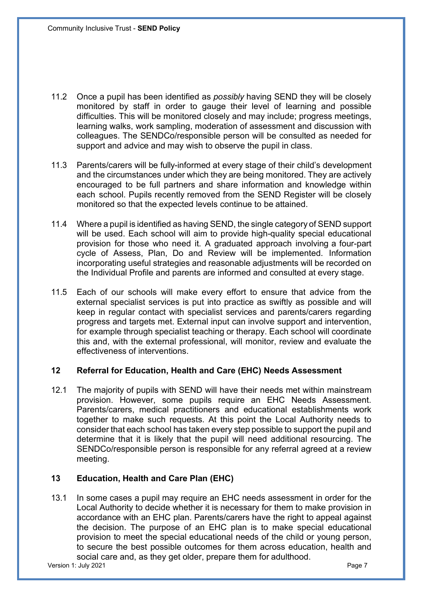- 11.2 Once a pupil has been identified as *possibly* having SEND they will be closely monitored by staff in order to gauge their level of learning and possible difficulties. This will be monitored closely and may include; progress meetings, learning walks, work sampling, moderation of assessment and discussion with colleagues. The SENDCo/responsible person will be consulted as needed for support and advice and may wish to observe the pupil in class.
- 11.3 Parents/carers will be fully-informed at every stage of their child's development and the circumstances under which they are being monitored. They are actively encouraged to be full partners and share information and knowledge within each school. Pupils recently removed from the SEND Register will be closely monitored so that the expected levels continue to be attained.
- 11.4 Where a pupil is identified as having SEND, the single category of SEND support will be used. Each school will aim to provide high-quality special educational provision for those who need it. A graduated approach involving a four-part cycle of Assess, Plan, Do and Review will be implemented. Information incorporating useful strategies and reasonable adjustments will be recorded on the Individual Profile and parents are informed and consulted at every stage.
- 11.5 Each of our schools will make every effort to ensure that advice from the external specialist services is put into practice as swiftly as possible and will keep in regular contact with specialist services and parents/carers regarding progress and targets met. External input can involve support and intervention, for example through specialist teaching or therapy. Each school will coordinate this and, with the external professional, will monitor, review and evaluate the effectiveness of interventions.

# **12 Referral for Education, Health and Care (EHC) Needs Assessment**

12.1 The majority of pupils with SEND will have their needs met within mainstream provision. However, some pupils require an EHC Needs Assessment. Parents/carers, medical practitioners and educational establishments work together to make such requests. At this point the Local Authority needs to consider that each school has taken every step possible to support the pupil and determine that it is likely that the pupil will need additional resourcing. The SENDCo/responsible person is responsible for any referral agreed at a review meeting.

# **13 Education, Health and Care Plan (EHC)**

13.1 In some cases a pupil may require an EHC needs assessment in order for the Local Authority to decide whether it is necessary for them to make provision in accordance with an EHC plan. Parents/carers have the right to appeal against the decision. The purpose of an EHC plan is to make special educational provision to meet the special educational needs of the child or young person, to secure the best possible outcomes for them across education, health and social care and, as they get older, prepare them for adulthood.

version 1: July 2021 **Page 7**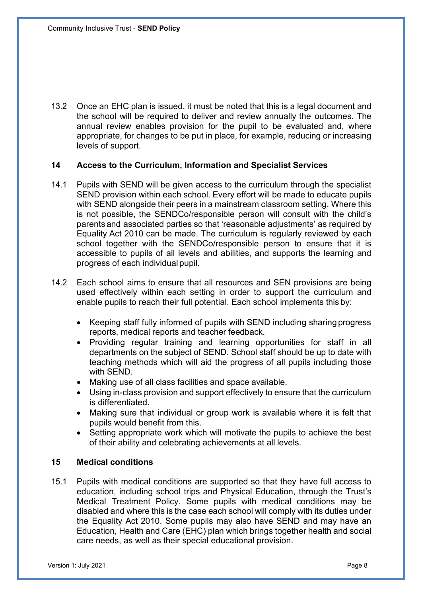13.2 Once an EHC plan is issued, it must be noted that this is a legal document and the school will be required to deliver and review annually the outcomes. The annual review enables provision for the pupil to be evaluated and, where appropriate, for changes to be put in place, for example, reducing or increasing levels of support.

#### **14 Access to the Curriculum, Information and Specialist Services**

- 14.1 Pupils with SEND will be given access to the curriculum through the specialist SEND provision within each school. Every effort will be made to educate pupils with SEND alongside their peers in a mainstream classroom setting. Where this is not possible, the SENDCo/responsible person will consult with the child's parents and associated parties so that 'reasonable adjustments' as required by Equality Act 2010 can be made. The curriculum is regularly reviewed by each school together with the SENDCo/responsible person to ensure that it is accessible to pupils of all levels and abilities, and supports the learning and progress of each individual pupil.
- 14.2 Each school aims to ensure that all resources and SEN provisions are being used effectively within each setting in order to support the curriculum and enable pupils to reach their full potential. Each school implements this by:
	- Keeping staff fully informed of pupils with SEND including sharing progress reports, medical reports and teacher feedback.
	- Providing regular training and learning opportunities for staff in all departments on the subject of SEND. School staff should be up to date with teaching methods which will aid the progress of all pupils including those with SEND.
	- Making use of all class facilities and space available.
	- Using in-class provision and support effectively to ensure that the curriculum is differentiated.
	- Making sure that individual or group work is available where it is felt that pupils would benefit from this.
	- Setting appropriate work which will motivate the pupils to achieve the best of their ability and celebrating achievements at all levels.

#### **15 Medical conditions**

15.1 Pupils with medical conditions are supported so that they have full access to education, including school trips and Physical Education, through the Trust's Medical Treatment Policy. Some pupils with medical conditions may be disabled and where this is the case each school will comply with its duties under the Equality Act 2010. Some pupils may also have SEND and may have an Education, Health and Care (EHC) plan which brings together health and social care needs, as well as their special educational provision.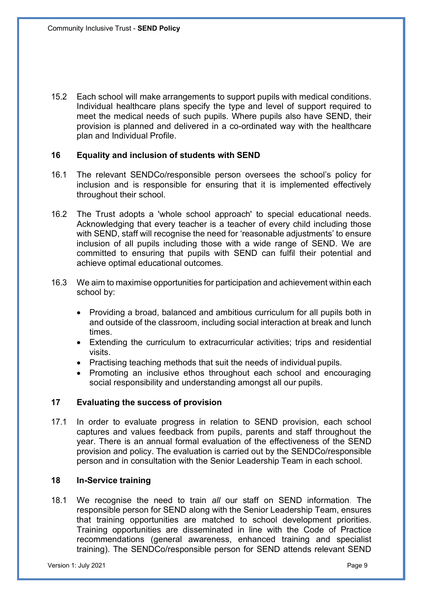15.2 Each school will make arrangements to support pupils with medical conditions. Individual healthcare plans specify the type and level of support required to meet the medical needs of such pupils. Where pupils also have SEND, their provision is planned and delivered in a co-ordinated way with the healthcare plan and Individual Profile.

## **16 Equality and inclusion of students with SEND**

- 16.1 The relevant SENDCo/responsible person oversees the school's policy for inclusion and is responsible for ensuring that it is implemented effectively throughout their school.
- 16.2 The Trust adopts a 'whole school approach' to special educational needs. Acknowledging that every teacher is a teacher of every child including those with SEND, staff will recognise the need for 'reasonable adjustments' to ensure inclusion of all pupils including those with a wide range of SEND. We are committed to ensuring that pupils with SEND can fulfil their potential and achieve optimal educational outcomes.
- 16.3 We aim to maximise opportunities for participation and achievement within each school by:
	- Providing a broad, balanced and ambitious curriculum for all pupils both in and outside of the classroom, including social interaction at break and lunch times.
	- Extending the curriculum to extracurricular activities; trips and residential visits.
	- Practising teaching methods that suit the needs of individual pupils.
	- Promoting an inclusive ethos throughout each school and encouraging social responsibility and understanding amongst all our pupils.

# **17 Evaluating the success of provision**

17.1 In order to evaluate progress in relation to SEND provision, each school captures and values feedback from pupils, parents and staff throughout the year. There is an annual formal evaluation of the effectiveness of the SEND provision and policy. The evaluation is carried out by the SENDCo/responsible person and in consultation with the Senior Leadership Team in each school.

## **18 In-Service training**

18.1 We recognise the need to train *all* our staff on SEND information*.* The responsible person for SEND along with the Senior Leadership Team, ensures that training opportunities are matched to school development priorities. Training opportunities are disseminated in line with the Code of Practice recommendations (general awareness, enhanced training and specialist training). The SENDCo/responsible person for SEND attends relevant SEND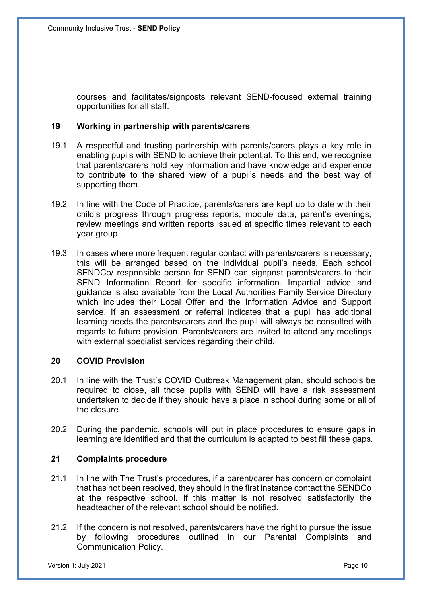courses and facilitates/signposts relevant SEND-focused external training opportunities for all staff.

#### **19 Working in partnership with parents/carers**

- 19.1 A respectful and trusting partnership with parents/carers plays a key role in enabling pupils with SEND to achieve their potential. To this end, we recognise that parents/carers hold key information and have knowledge and experience to contribute to the shared view of a pupil's needs and the best way of supporting them.
- 19.2 In line with the Code of Practice, parents/carers are kept up to date with their child's progress through progress reports, module data, parent's evenings, review meetings and written reports issued at specific times relevant to each year group.
- 19.3 In cases where more frequent regular contact with parents/carers is necessary, this will be arranged based on the individual pupil's needs. Each school SENDCo/ responsible person for SEND can signpost parents/carers to their SEND Information Report for specific information. Impartial advice and guidance is also available from the Local Authorities Family Service Directory which includes their Local Offer and the Information Advice and Support service. If an assessment or referral indicates that a pupil has additional learning needs the parents/carers and the pupil will always be consulted with regards to future provision. Parents/carers are invited to attend any meetings with external specialist services regarding their child.

# **20 COVID Provision**

- 20.1 In line with the Trust's COVID Outbreak Management plan, should schools be required to close, all those pupils with SEND will have a risk assessment undertaken to decide if they should have a place in school during some or all of the closure.
- 20.2 During the pandemic, schools will put in place procedures to ensure gaps in learning are identified and that the curriculum is adapted to best fill these gaps.

#### **21 Complaints procedure**

- 21.1 In line with The Trust's procedures, if a parent/carer has concern or complaint that has not been resolved, they should in the first instance contact the SENDCo at the respective school. If this matter is not resolved satisfactorily the headteacher of the relevant school should be notified.
- 21.2 If the concern is not resolved, parents/carers have the right to pursue the issue by following procedures outlined in our Parental Complaints and Communication Policy.